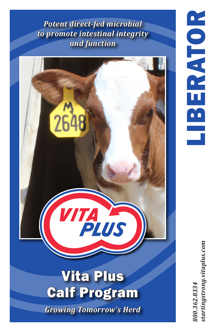*Potent direct-fed microbial to promote intestinal integrity and function*



tartingstrong.vitaplus.com *800.362.8334 startingstrong.vitaplus.com*800.362.8334